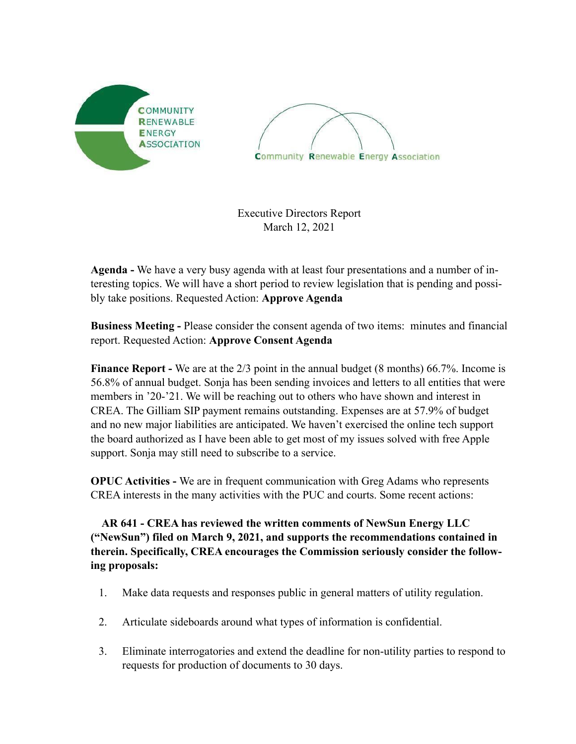



Executive Directors Report March 12, 2021

**Agenda -** We have a very busy agenda with at least four presentations and a number of interesting topics. We will have a short period to review legislation that is pending and possibly take positions. Requested Action: **Approve Agenda**

**Business Meeting -** Please consider the consent agenda of two items: minutes and financial report. Requested Action: **Approve Consent Agenda** 

**Finance Report -** We are at the 2/3 point in the annual budget (8 months) 66.7%. Income is 56.8% of annual budget. Sonja has been sending invoices and letters to all entities that were members in '20-'21. We will be reaching out to others who have shown and interest in CREA. The Gilliam SIP payment remains outstanding. Expenses are at 57.9% of budget and no new major liabilities are anticipated. We haven't exercised the online tech support the board authorized as I have been able to get most of my issues solved with free Apple support. Sonja may still need to subscribe to a service.

**OPUC Activities -** We are in frequent communication with Greg Adams who represents CREA interests in the many activities with the PUC and courts. Some recent actions:

**AR 641 - CREA has reviewed the written comments of NewSun Energy LLC ("NewSun") filed on March 9, 2021, and supports the recommendations contained in therein. Specifically, CREA encourages the Commission seriously consider the following proposals:** 

- 1. Make data requests and responses public in general matters of utility regulation.
- 2. Articulate sideboards around what types of information is confidential.
- 3. Eliminate interrogatories and extend the deadline for non-utility parties to respond to requests for production of documents to 30 days.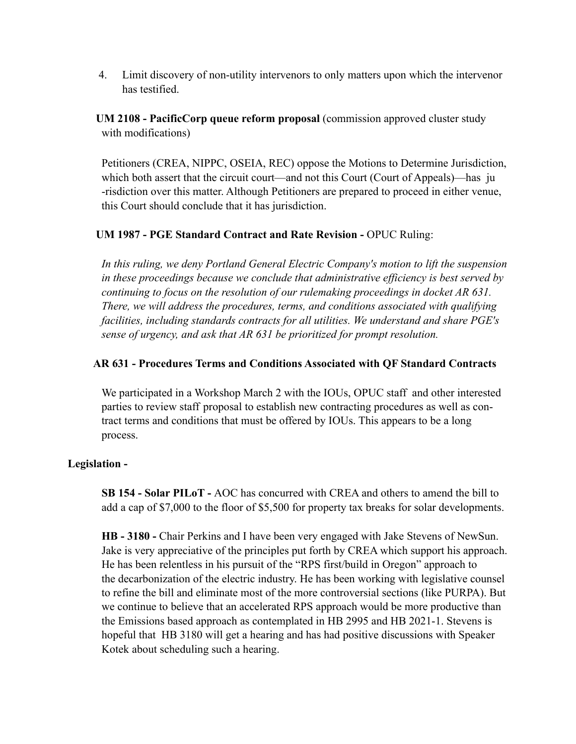4. Limit discovery of non-utility intervenors to only matters upon which the intervenor has testified.

 **UM 2108 - PacificCorp queue reform proposal** (commission approved cluster study with modifications)

Petitioners (CREA, NIPPC, OSEIA, REC) oppose the Motions to Determine Jurisdiction, which both assert that the circuit court—and not this Court (Court of Appeals)—has ju -risdiction over this matter. Although Petitioners are prepared to proceed in either venue, this Court should conclude that it has jurisdiction.

## **UM 1987 - PGE Standard Contract and Rate Revision - OPUC Ruling:**

*In this ruling, we deny Portland General Electric Company's motion to lift the suspension in these proceedings because we conclude that administrative efficiency is best served by continuing to focus on the resolution of our rulemaking proceedings in docket AR 631. There, we will address the procedures, terms, and conditions associated with qualifying facilities, including standards contracts for all utilities. We understand and share PGE's sense of urgency, and ask that AR 631 be prioritized for prompt resolution.* 

## **AR 631 - Procedures Terms and Conditions Associated with QF Standard Contracts**

We participated in a Workshop March 2 with the IOUs, OPUC staff and other interested parties to review staff proposal to establish new contracting procedures as well as con tract terms and conditions that must be offered by IOUs. This appears to be a long process.

### **Legislation -**

 **SB 154 - Solar PILoT -** AOC has concurred with CREA and others to amend the bill to add a cap of \$7,000 to the floor of \$5,500 for property tax breaks for solar developments.

**HB - 3180 -** Chair Perkins and I have been very engaged with Jake Stevens of NewSun. Jake is very appreciative of the principles put forth by CREA which support his approach. He has been relentless in his pursuit of the "RPS first/build in Oregon" approach to the decarbonization of the electric industry. He has been working with legislative counsel to refine the bill and eliminate most of the more controversial sections (like PURPA). But we continue to believe that an accelerated RPS approach would be more productive than the Emissions based approach as contemplated in HB 2995 and HB 2021-1. Stevens is hopeful that HB 3180 will get a hearing and has had positive discussions with Speaker Kotek about scheduling such a hearing.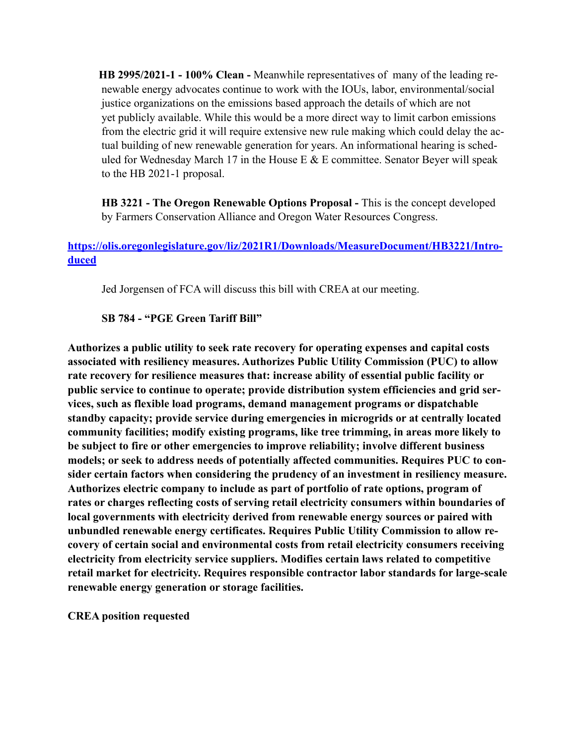**HB 2995/2021-1 - 100% Clean -** Meanwhile representatives of many of the leading re newable energy advocates continue to work with the IOUs, labor, environmental/social justice organizations on the emissions based approach the details of which are not yet publicly available. While this would be a more direct way to limit carbon emissions from the electric grid it will require extensive new rule making which could delay the ac tual building of new renewable generation for years. An informational hearing is sched uled for Wednesday March 17 in the House E  $&$  E committee. Senator Beyer will speak to the HB 2021-1 proposal.

**HB 3221 - The Oregon Renewable Options Proposal -** This is the concept developed by Farmers Conservation Alliance and Oregon Water Resources Congress.

# **[https://olis.oregonlegislature.gov/liz/2021R1/Downloads/MeasureDocument/HB3221/Intro](https://olis.oregonlegislature.gov/liz/2021R1/Downloads/MeasureDocument/HB3221/Introduced)[duced](https://olis.oregonlegislature.gov/liz/2021R1/Downloads/MeasureDocument/HB3221/Introduced)**

Jed Jorgensen of FCA will discuss this bill with CREA at our meeting.

## **SB 784 - "PGE Green Tariff Bill"**

**Authorizes a public utility to seek rate recovery for operating expenses and capital costs associated with resiliency measures. Authorizes Public Utility Commission (PUC) to allow rate recovery for resilience measures that: increase ability of essential public facility or public service to continue to operate; provide distribution system efficiencies and grid services, such as flexible load programs, demand management programs or dispatchable standby capacity; provide service during emergencies in microgrids or at centrally located community facilities; modify existing programs, like tree trimming, in areas more likely to be subject to fire or other emergencies to improve reliability; involve different business models; or seek to address needs of potentially affected communities. Requires PUC to consider certain factors when considering the prudency of an investment in resiliency measure. Authorizes electric company to include as part of portfolio of rate options, program of rates or charges reflecting costs of serving retail electricity consumers within boundaries of local governments with electricity derived from renewable energy sources or paired with unbundled renewable energy certificates. Requires Public Utility Commission to allow recovery of certain social and environmental costs from retail electricity consumers receiving electricity from electricity service suppliers. Modifies certain laws related to competitive retail market for electricity. Requires responsible contractor labor standards for large-scale renewable energy generation or storage facilities.** 

**CREA position requested**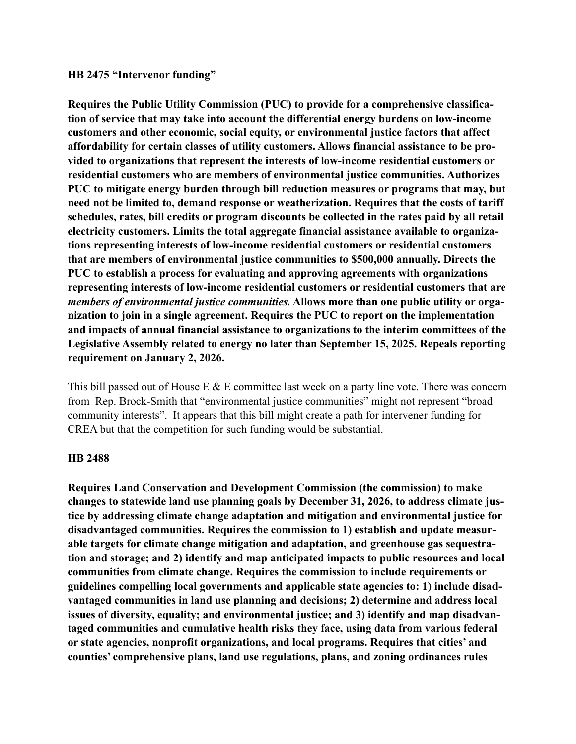#### **HB 2475 "Intervenor funding"**

**Requires the Public Utility Commission (PUC) to provide for a comprehensive classification of service that may take into account the differential energy burdens on low-income customers and other economic, social equity, or environmental justice factors that affect affordability for certain classes of utility customers. Allows financial assistance to be provided to organizations that represent the interests of low-income residential customers or residential customers who are members of environmental justice communities. Authorizes PUC to mitigate energy burden through bill reduction measures or programs that may, but need not be limited to, demand response or weatherization. Requires that the costs of tariff schedules, rates, bill credits or program discounts be collected in the rates paid by all retail electricity customers. Limits the total aggregate financial assistance available to organizations representing interests of low-income residential customers or residential customers that are members of environmental justice communities to \$500,000 annually. Directs the PUC to establish a process for evaluating and approving agreements with organizations representing interests of low-income residential customers or residential customers that are**  *members of environmental justice communities.* **Allows more than one public utility or organization to join in a single agreement. Requires the PUC to report on the implementation and impacts of annual financial assistance to organizations to the interim committees of the Legislative Assembly related to energy no later than September 15, 2025. Repeals reporting requirement on January 2, 2026.** 

This bill passed out of House E  $&$  E committee last week on a party line vote. There was concern from Rep. Brock-Smith that "environmental justice communities" might not represent "broad community interests". It appears that this bill might create a path for intervener funding for CREA but that the competition for such funding would be substantial.

#### **HB 2488**

**Requires Land Conservation and Development Commission (the commission) to make changes to statewide land use planning goals by December 31, 2026, to address climate justice by addressing climate change adaptation and mitigation and environmental justice for disadvantaged communities. Requires the commission to 1) establish and update measurable targets for climate change mitigation and adaptation, and greenhouse gas sequestration and storage; and 2) identify and map anticipated impacts to public resources and local communities from climate change. Requires the commission to include requirements or guidelines compelling local governments and applicable state agencies to: 1) include disadvantaged communities in land use planning and decisions; 2) determine and address local issues of diversity, equality; and environmental justice; and 3) identify and map disadvantaged communities and cumulative health risks they face, using data from various federal or state agencies, nonprofit organizations, and local programs. Requires that cities' and counties' comprehensive plans, land use regulations, plans, and zoning ordinances rules**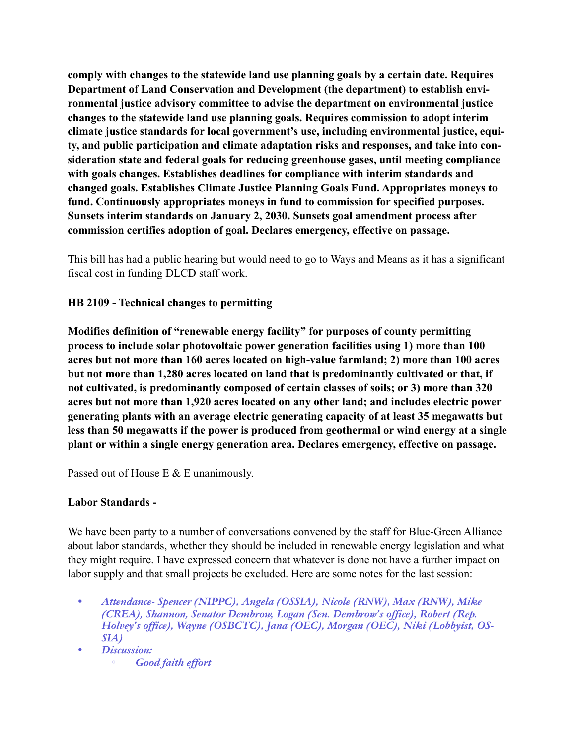**comply with changes to the statewide land use planning goals by a certain date. Requires Department of Land Conservation and Development (the department) to establish environmental justice advisory committee to advise the department on environmental justice changes to the statewide land use planning goals. Requires commission to adopt interim climate justice standards for local government's use, including environmental justice, equity, and public participation and climate adaptation risks and responses, and take into consideration state and federal goals for reducing greenhouse gases, until meeting compliance with goals changes. Establishes deadlines for compliance with interim standards and changed goals. Establishes Climate Justice Planning Goals Fund. Appropriates moneys to fund. Continuously appropriates moneys in fund to commission for specified purposes. Sunsets interim standards on January 2, 2030. Sunsets goal amendment process after commission certifies adoption of goal. Declares emergency, effective on passage.** 

This bill has had a public hearing but would need to go to Ways and Means as it has a significant fiscal cost in funding DLCD staff work.

## **HB 2109 - Technical changes to permitting**

**Modifies definition of "renewable energy facility" for purposes of county permitting process to include solar photovoltaic power generation facilities using 1) more than 100 acres but not more than 160 acres located on high-value farmland; 2) more than 100 acres but not more than 1,280 acres located on land that is predominantly cultivated or that, if not cultivated, is predominantly composed of certain classes of soils; or 3) more than 320 acres but not more than 1,920 acres located on any other land; and includes electric power generating plants with an average electric generating capacity of at least 35 megawatts but less than 50 megawatts if the power is produced from geothermal or wind energy at a single plant or within a single energy generation area. Declares emergency, effective on passage.** 

Passed out of House E & E unanimously.

### **Labor Standards -**

We have been party to a number of conversations convened by the staff for Blue-Green Alliance about labor standards, whether they should be included in renewable energy legislation and what they might require. I have expressed concern that whatever is done not have a further impact on labor supply and that small projects be excluded. Here are some notes for the last session:

- *• Attendance- Spencer (NIPPC), Angela (OSSIA), Nicole (RNW), Max (RNW), Mike (CREA), Shannon, Senator Dembrow, Logan (Sen. Dembrow's office), Robert (Rep. Holvey's office), Wayne (OSBCTC), Jana (OEC), Morgan (OEC), Niki (Lobbyist, OS-SIA)*
- *• Discussion: ◦ Good faith effort*